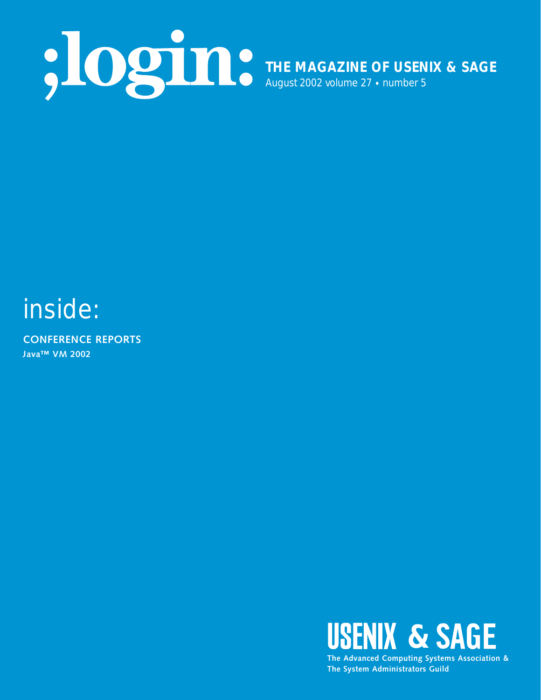

# inside:

**CONFERENCE REPORTS Java™ VM 2002**



**The System Administrators Guild**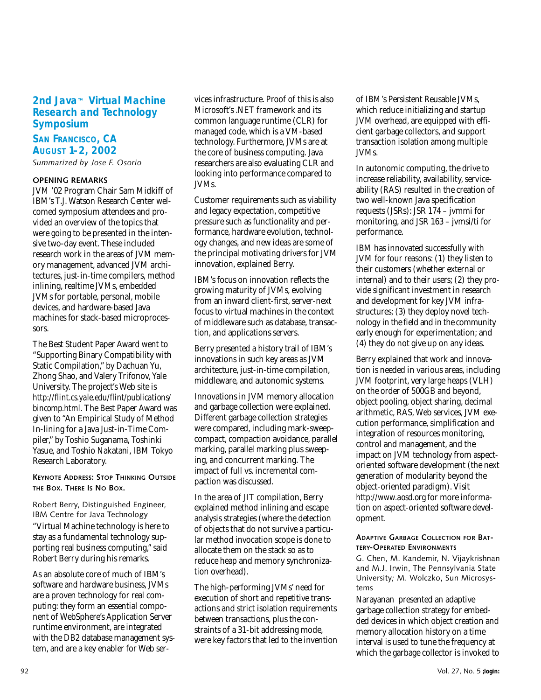# **2nd Java™ Virtual Machine Research and Technology Symposium**

# **SAN FRANCISCO, CA AUGUST 1–2, 2002**

*Summarized by Jose F. Osorio*

## **OPENING REMARKS**

JVM '02 Program Chair Sam Midkiff of IBM's T.J. Watson Research Center welcomed symposium attendees and provided an overview of the topics that were going to be presented in the intensive two-day event. These included research work in the areas of JVM memory management, advanced JVM architectures, just-in-time compilers, method inlining, realtime JVMs, embedded JVMs for portable, personal, mobile devices, and hardware-based Java machines for stack-based microprocessors.

The Best Student Paper Award went to "Supporting Binary Compatibility with Static Compilation," by Dachuan Yu, Zhong Shao, and Valery Trifonov, Yale University. The project's Web site is *<http://flint.cs.yale.edu/flint/publications/> bincomp.html*. The Best Paper Award was given to "An Empirical Study of Method In-lining for a Java Just-in-Time Compiler," by Toshio Suganama, Toshinki Yasue, and Toshio Nakatani, IBM Tokyo Research Laboratory.

**KEYNOTE ADDRESS: STOP THINKING OUTSIDE THE BOX. THERE IS NO BOX.**

#### Robert Berry, Distinguished Engineer, IBM Centre for Java Technology

"Virtual Machine technology is here to stay as a fundamental technology supporting real business computing," said Robert Berry during his remarks.

As an absolute core of much of IBM's software and hardware business, JVMs are a proven technology for real computing: they form an essential component of WebSphere's Application Server runtime environment, are integrated with the DB2 database management system, and are a key enabler for Web ser-

vices infrastructure. Proof of this is also Microsoft's .NET framework and its common language runtime (CLR) for managed code, which is a VM-based technology. Furthermore, JVMs are at the core of business computing. Java researchers are also evaluating CLR and looking into performance compared to JVMs.

Customer requirements such as viability and legacy expectation, competitive pressure such as functionality and performance, hardware evolution, technology changes, and new ideas are some of the principal motivating drivers for JVM innovation, explained Berry.

IBM's focus on innovation reflects the growing maturity of JVMs, evolving from an inward client-first, server-next focus to virtual machines in the context of middleware such as database, transaction, and applications servers.

Berry presented a history trail of IBM's innovations in such key areas as JVM architecture, just-in-time compilation, middleware, and autonomic systems.

Innovations in JVM memory allocation and garbage collection were explained. Different garbage collection strategies were compared, including mark-sweepcompact, compaction avoidance, parallel marking, parallel marking plus sweeping, and concurrent marking. The impact of full vs. incremental compaction was discussed.

In the area of JIT compilation, Berry explained method inlining and escape analysis strategies (where the detection of objects that do not survive a particular method invocation scope is done to allocate them on the stack so as to reduce heap and memory synchronization overhead).

The high-performing JVMs' need for execution of short and repetitive transactions and strict isolation requirements between transactions, plus the constraints of a 31-bit addressing mode, were key factors that led to the invention of IBM's Persistent Reusable JVMs, which reduce initializing and startup JVM overhead, are equipped with efficient garbage collectors, and support transaction isolation among multiple JVMs.

In autonomic computing, the drive to increase reliability, availability, serviceability (RAS) resulted in the creation of two well-known Java specification requests (JSRs): JSR 174 – jvmmi for monitoring, and JSR 163 – jvmsi/ti for performance.

IBM has innovated successfully with JVM for four reasons: (1) they listen to their customers (whether external or internal) and to their users; (2) they provide significant investment in research and development for key JVM infrastructures; (3) they deploy novel technology in the field and in the community early enough for experimentation; and (4) they do not give up on any ideas.

Berry explained that work and innovation is needed in various areas, including JVM footprint, very large heaps (VLH) on the order of 500GB and beyond, object pooling, object sharing, decimal arithmetic, RAS, Web services, JVM execution performance, simplification and integration of resources monitoring, control and management, and the impact on JVM technology from aspectoriented software development (the next generation of modularity beyond the object-oriented paradigm). Visit *<http://www.aosd.org>* for more information on aspect-oriented software development.

#### **ADAPTIVE GARBAGE COLLECTION FOR BAT-TERY-OPERATED ENVIRONMENTS**

G. Chen, M. Kandemir, N. Vijaykrishnan and M.J. Irwin, The Pennsylvania State University*;* M. Wolczko, Sun Microsystems

Narayanan presented an adaptive garbage collection strategy for embedded devices in which object creation and memory allocation history on a time interval is used to tune the frequency at which the garbage collector is invoked to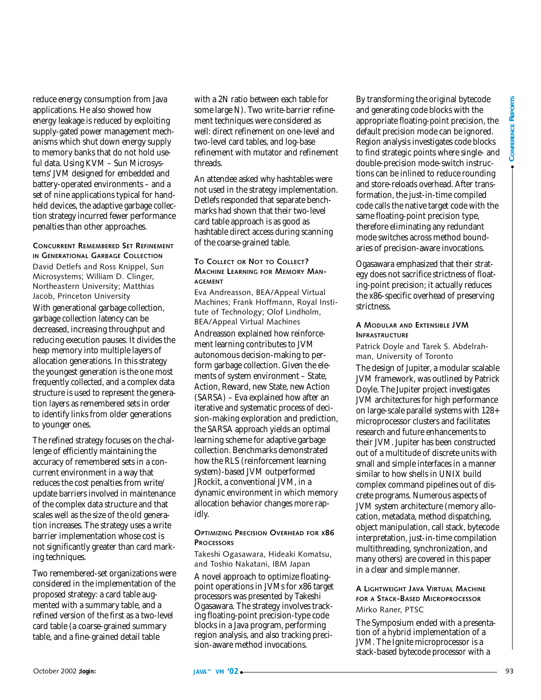reduce energy consumption from Java applications. He also showed how energy leakage is reduced by exploiting supply-gated power management mechanisms which shut down energy supply to memory banks that do not hold useful data. Using KVM – Sun Microsystems' JVM designed for embedded and battery-operated environments – and a set of nine applications typical for handheld devices, the adaptive garbage collection strategy incurred fewer performance penalties than other approaches.

#### **CONCURRENT REMEMBERED SET REFINEMENT IN GENERATIONAL GARBAGE COLLECTION**

David Detlefs and Ross Knippel, Sun Microsystems; William D. Clinger, Northeastern University; Matthias Jacob, Princeton University With generational garbage collection, garbage collection latency can be decreased, increasing throughput and reducing execution pauses. It divides the heap memory into multiple layers of allocation generations. In this strategy the youngest generation is the one most frequently collected, and a complex data structure is used to represent the generation layers as remembered sets in order to identify links from older generations to younger ones.

The refined strategy focuses on the challenge of efficiently maintaining the accuracy of remembered sets in a concurrent environment in a way that reduces the cost penalties from write/ update barriers involved in maintenance of the complex data structure and that scales well as the size of the old generation increases. The strategy uses a write barrier implementation whose cost is not significantly greater than card marking techniques.

Two remembered-set organizations were considered in the implementation of the proposed strategy: a card table augmented with a summary table, and a refined version of the first as a two-level card table (a coarse-grained summary table, and a fine-grained detail table

with a 2N ratio between each table for some large N). Two write-barrier refinement techniques were considered as well: direct refinement on one-level and two-level card tables, and log-base refinement with mutator and refinement threads.

An attendee asked why hashtables were not used in the strategy implementation. Detlefs responded that separate benchmarks had shown that their two-level card table approach is as good as hashtable direct access during scanning of the coarse-grained table.

#### **TO COLLECT OR NOT TO COLLECT? MACHINE LEARNING FOR MEMORY MAN-AGEMENT**

Eva Andreasson, BEA/Appeal Virtual Machines; Frank Hoffmann, Royal Institute of Technology; Olof Lindholm, BEA/Appeal Virtual Machines

Andreasson explained how reinforcement learning contributes to JVM autonomous decision-making to perform garbage collection. Given the elements of system environment – State, Action, Reward, new State, new Action (SARSA) – Eva explained how after an iterative and systematic process of decision-making exploration and prediction, the SARSA approach yields an optimal learning scheme for adaptive garbage collection. Benchmarks demonstrated how the RLS (reinforcement learning system)-based JVM outperformed JRockit, a conventional JVM, in a dynamic environment in which memory allocation behavior changes more rapidly.

#### **OPTIMIZING PRECISION OVERHEAD FOR X86 PROCESSORS**

Takeshi Ogasawara, Hideaki Komatsu, and Toshio Nakatani, IBM Japan

A novel approach to optimize floatingpoint operations in JVMs for x86 target processors was presented by Takeshi Ogasawara. The strategy involves tracking floating-point precision-type code blocks in a Java program, performing region analysis, and also tracking precision-aware method invocations.

By transforming the original bytecode and generating code blocks with the appropriate floating-point precision, the default precision mode can be ignored. Region analysis investigates code blocks to find strategic points where single- and double-precision mode-switch instructions can be inlined to reduce rounding and store-reloads overhead. After transformation, the just-in-time compiled code calls the native target code with the same floating-point precision type, therefore eliminating any redundant mode switches across method boundaries of precision-aware invocations.

Ogasawara emphasized that their strategy does not sacrifice strictness of floating-point precision; it actually reduces the x86-specific overhead of preserving strictness.

#### **A MODULAR AND EXTENSIBLE JVM INFRASTRUCTURE**

Patrick Doyle and Tarek S. Abdelrahman, University of Toronto

Unit and the simulation of entirelated in the simulation of the simulation of the simulation of the simulation of the simulation of the simulation of the simulation of the simulation by the simulation of the simulation of The design of Jupiter, a modular scalable JVM framework, was outlined by Patrick Doyle. The Jupiter project investigates JVM architectures for high performance on large-scale parallel systems with 128+ microprocessor clusters and facilitates research and future enhancements to their JVM. Jupiter has been constructed out of a multitude of discrete units with small and simple interfaces in a manner similar to how shells in UNIX build complex command pipelines out of discrete programs. Numerous aspects of JVM system architecture (memory allocation, metadata, method dispatching, object manipulation, call stack, bytecode interpretation, just-in-time compilation multithreading, synchronization, and many others) are covered in this paper in a clear and simple manner.

## **A LIGHTWEIGHT JAVA VIRTUAL MACHINE FOR A STACK-BASED MICROPROCESSOR** Mirko Raner, PTSC

The Symposium ended with a presentation of a hybrid implementation of a JVM. The Ignite microprocessor is a stack-based bytecode processor with a